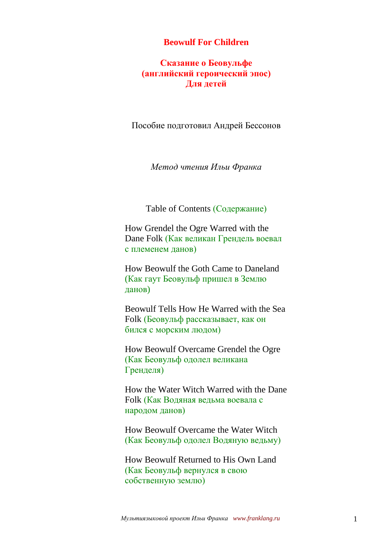#### **Beowulf For Children**

### **Сказание о Беовульфе (английский героический эпос) Для детей**

Пособие подготовил Андрей Бессонов

*Метод чтения Ильи Франка*

Table of Contents (Содержание)

How Grendel the Ogre Warred with the Dane Folk (Как великан Грендель воевал с племенем данов)

How Beowulf the Goth Came to Daneland (Как гаут Беовульф пришел в Землю данов)

Beowulf Tells How He Warred with the Sea Folk (Беовульф рассказывает, как он бился с морским людом)

How Beowulf Overcame Grendel the Ogre (Как Беовульф одолел великана Гренделя)

How the Water Witch Warred with the Dane Folk (Как Водяная ведьма воевала с народом данов)

How Beowulf Overcame the Water Witch (Как Беовульф одолел Водяную ведьму)

How Beowulf Returned to His Own Land (Как Беовульф вернулся в свою собственную землю)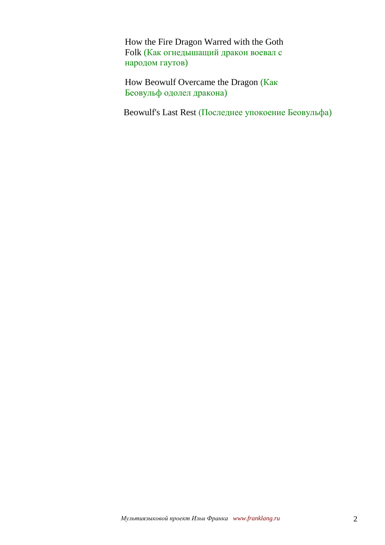How the Fire Dragon Warred with the Goth Folk (Как огнедышащий дракон воевал с народом гаутов)

How Beowulf Overcame the Dragon (Как Беовульф одолел дракона)

Beowulf's Last Rest (Последнее упокоение Беовульфа)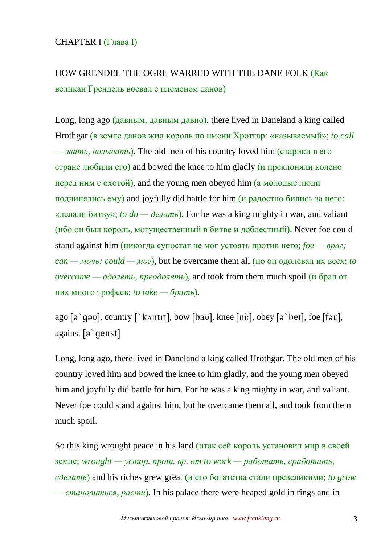### CHAPTER I (Глава I)

# HOW GRENDEL THE OGRE WARRED WITH THE DANE FOLK (Как великан Грендель воевал с племенем данов)

Long, long ago (давным, давным давно), there lived in Daneland a king called Hrothgar (в земле данов жил король по имени Хротгар: «называемый»; *to call — звать, называть*). The old men of his country loved him (старики в его стране любили его) and bowed the knee to him gladly (и преклоняли колено перед ним с охотой), and the young men obeyed him (а молодые люди подчинялись ему) and joyfully did battle for him (и радостно бились за него: «делали битву»; *to*  $do \rightarrow$  *делать*). For he was a king mighty in war, and valiant (ибо он был король, могущественный в битве и доблестный). Never foe could stand against him (никогда супостат не мог устоять против него; *foe — враг;*   $\alpha$  — *мочь; could — мог*), but he overcame them all (но он одолевал их всех; *to overcome — одолеть, преодолеть*), and took from them much spoil (и брал от них много трофеев; *to take — брать*).

ago  $\lceil a \rceil$  q av, country  $\lceil k \cdot \text{antr1} \rceil$ , bow  $\lceil \cdot \text{bav} \rceil$ , knee  $\lceil \text{ni} \rceil$ , obey  $\lceil a \rceil$  bet  $\lceil \cdot \text{bou} \rceil$ , foe  $\lceil \lceil \cdot \text{bu} \rceil$ , against [a `genst]

Long, long ago, there lived in Daneland a king called Hrothgar. The old men of his country loved him and bowed the knee to him gladly, and the young men obeyed him and joyfully did battle for him. For he was a king mighty in war, and valiant. Never foe could stand against him, but he overcame them all, and took from them much spoil.

So this king wrought peace in his land (итак сей король установил мир в своей земле; *wrought — устар. прош. вр. от to work — работать, сработать, сделать*) and his riches grew great (и его богатства стали превеликими; *to grow — становиться, расти*). In his palace there were heaped gold in rings and in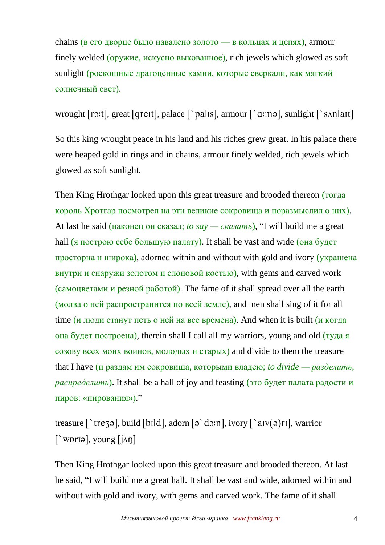chains (в его дворце было навалено золото — в кольцах и цепях), armour finely welded (оружие, искусно выкованное), rich jewels which glowed as soft sunlight (роскошные драгоценные камни, которые сверкали, как мягкий солнечный свет).

wrought [ro:t], great [greit], palace  $\lceil \cdot \text{palis} \rceil$ , armour  $\lceil \cdot \text{a:mod} \rceil$ , sunlight  $\lceil \cdot \text{sanlait} \rceil$ 

So this king wrought peace in his land and his riches grew great. In his palace there were heaped gold in rings and in chains, armour finely welded, rich jewels which glowed as soft sunlight.

Then King Hrothgar looked upon this great treasure and brooded thereon (тогда король Хротгар посмотрел на эти великие сокровища и поразмыслил о них). At last he said (наконец он сказал; *to say — сказать*), "I will build me a great hall (я построю себе большую палату). It shall be vast and wide (она будет просторна и широка), adorned within and without with gold and ivory (украшена внутри и снаружи золотом и слоновой костью), with gems and carved work (самоцветами и резной работой). The fame of it shall spread over all the earth (молва о ней распространится по всей земле), and men shall sing of it for all time (и люди станут петь о ней на все времена). And when it is built (и когда она будет построена), therein shall I call all my warriors, young and old (туда я созову всех моих воинов, молодых и старых) and divide to them the treasure that I have (и раздам им сокровища, которыми владею; *to divide — разделить, распределить*). It shall be a hall of joy and feasting (это будет палата радости и пиров: «пирования»)."

treasure  $\lceil$  trezal, build [bild], adorn  $\lceil$  a do:n], ivory  $\lceil$  a  $\lceil$  av(a)ril, warrior  $\lceil \text{`worlə} \rceil$ , young  $\lceil \text{`in} \rceil$ 

Then King Hrothgar looked upon this great treasure and brooded thereon. At last he said, "I will build me a great hall. It shall be vast and wide, adorned within and without with gold and ivory, with gems and carved work. The fame of it shall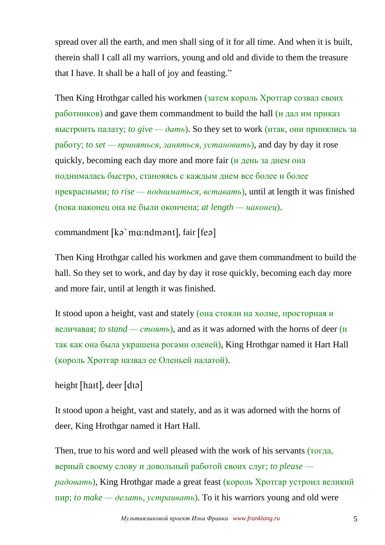spread over all the earth, and men shall sing of it for all time. And when it is built, therein shall I call all my warriors, young and old and divide to them the treasure that I have. It shall be a hall of joy and feasting."

Then King Hrothgar called his workmen (затем король Хротгар созвал своих работников) and gave them commandment to build the hall (и дал им приказ выстроить палату; *to give*  $\rightarrow$  *damb*). So they set to work (итак, они принялись за работу; *to set — приняться, заняться, установить*), and day by day it rose quickly, becoming each day more and more fair (и день за днем она поднималась быстро, становясь с каждым днем все более и более прекрасными; *to rise — подниматься, вставать*), until at length it was finished (пока наконец она не были окончена; *at length — наконец*).

commandment [kə`mɑ:ndmənt], fair [feə]

Then King Hrothgar called his workmen and gave them commandment to build the hall. So they set to work, and day by day it rose quickly, becoming each day more and more fair, until at length it was finished.

It stood upon a height, vast and stately (она стояли на холме, просторная и величавая; *to stand — стоять*), and as it was adorned with the horns of deer (и так как она была украшена рогами оленей), King Hrothgar named it Hart Hall (король Хротгар назвал ее Оленьей палатой).

```
height [hat], deer [d]
```
It stood upon a height, vast and stately, and as it was adorned with the horns of deer, King Hrothgar named it Hart Hall.

Then, true to his word and well pleased with the work of his servants (тогда, верный своему слову и довольный работой своих слуг; *to please радовать*), King Hrothgar made a great feast (король Хротгар устроил великий пир; *to make — делать, устраивать*). To it his warriors young and old were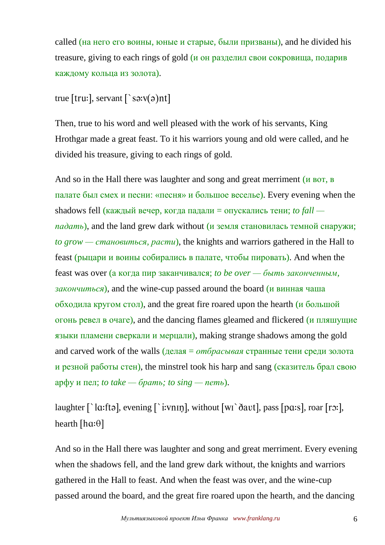called (на него его воины, юные и старые, были призваны), and he divided his treasure, giving to each rings of gold (и он разделил свои сокровища, подарив каждому кольца из золота).

## true [tru:], servant  $\lceil$  `sa: $v(a)$ nt]

Then, true to his word and well pleased with the work of his servants, King Hrothgar made a great feast. To it his warriors young and old were called, and he divided his treasure, giving to each rings of gold.

And so in the Hall there was laughter and song and great merriment (и вот, в палате был смех и песни: «песня» и большое веселье). Every evening when the shadows fell (каждый вечер, когда падали = опускались тени; *to fall падать*), and the land grew dark without (и земля становилась темной снаружи; *to grow — становиться, расти*), the knights and warriors gathered in the Hall to feast (рыцари и воины собирались в палате, чтобы пировать). And when the feast was over (а когда пир заканчивался; *to be over — быть законченным, закончиться*), and the wine-cup passed around the board (и винная чаша обходила кругом стол), and the great fire roared upon the hearth (и большой огонь ревел в очаге), and the dancing flames gleamed and flickered (и пляшущие языки пламени сверкали и мерцали), making strange shadows among the gold and carved work of the walls (делая = *отбрасывая* странные тени среди золота и резной работы стен), the minstrel took his harp and sang (сказитель брал свою арфу и пел; *to take — брать; to sing — петь*).

laughter  $\lceil \cdot \rceil$  la: fta, evening  $\lceil \cdot \rceil$  i: vnin, without  $\lceil \text{wt} \rceil$  davt, and  $\lceil \text{par} \rceil$ , roar  $\lceil \text{rot} \rceil$ , hearth [ $ha$ : $\theta$ ]

And so in the Hall there was laughter and song and great merriment. Every evening when the shadows fell, and the land grew dark without, the knights and warriors gathered in the Hall to feast. And when the feast was over, and the wine-cup passed around the board, and the great fire roared upon the hearth, and the dancing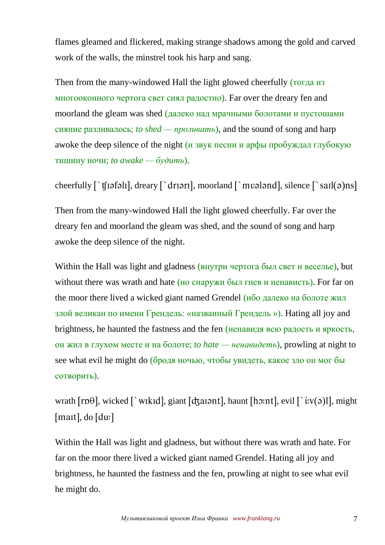flames gleamed and flickered, making strange shadows among the gold and carved work of the walls, the minstrel took his harp and sang.

Then from the many-windowed Hall the light glowed cheerfully (тогда из многооконного чертога свет сиял радостно). Far over the dreary fen and moorland the gleam was shed (далеко над мрачными болотами и пустошами сияние разливалось; *to shed — проливать*), and the sound of song and harp awoke the deep silence of the night (и звук песни и арфы пробуждал глубокую тишину ночи; *to awake — будить*).

cheerfully  $\lceil \cdot \text{tfi}(\sigma) \rceil$ , dreary  $\lceil \cdot \text{dri}(\sigma) \rceil$ , moorland  $\lceil \cdot \text{mvi}(\sigma) \rceil$ , silence  $\lceil \cdot \text{sati}(\sigma) \rceil$ 

Then from the many-windowed Hall the light glowed cheerfully. Far over the dreary fen and moorland the gleam was shed, and the sound of song and harp awoke the deep silence of the night.

Within the Hall was light and gladness (внутри чертога был свет и веселье), but without there was wrath and hate (но снаружи был гнев и ненависть). For far on the moor there lived a wicked giant named Grendel (ибо далеко на болоте жил злой великан по имени Грендель: «названный Грендель »). Hating all joy and brightness, he haunted the fastness and the fen (ненавидя всю радость и яркость, он жил в глухом месте и на болоте; *to hate — ненавидеть*), prowling at night to see what evil he might do (бродя ночью, чтобы увидеть, какое зло он мог бы сотворить).

wrath  $[rp\theta]$ , wicked  $\lceil \nabla w \rceil$  with  $\lceil \frac{d}{d} a r \rceil$ , haunt  $\lceil \frac{d}{d} n r \rceil$ , evil  $\lceil \frac{d}{d} r \rceil$ , might  $[$ mait $]$ , do  $[$ du: $]$ 

Within the Hall was light and gladness, but without there was wrath and hate. For far on the moor there lived a wicked giant named Grendel. Hating all joy and brightness, he haunted the fastness and the fen, prowling at night to see what evil he might do.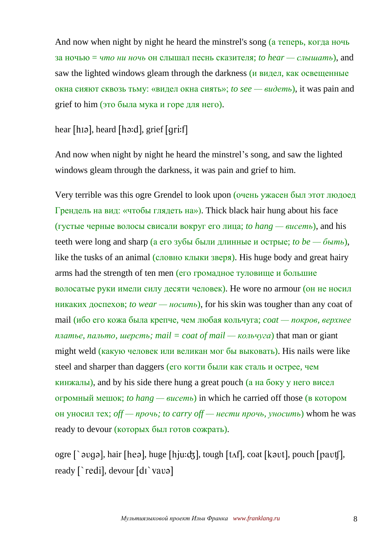And now when night by night he heard the minstrel's song (а теперь, когда ночь за ночью = *что ни ночь* он слышал песнь сказителя; *to hear — слышать*), and saw the lighted windows gleam through the darkness (и видел, как освещенные окна сияют сквозь тьму: «видел окна сиять»; *to see — видеть*), it was pain and grief to him (это была мука и горе для него).

### hear [hɪə], heard [hə:d], grief [qri:f]

And now when night by night he heard the minstrel's song, and saw the lighted windows gleam through the darkness, it was pain and grief to him.

Very terrible was this ogre Grendel to look upon (очень ужасен был этот людоед Грендель на вид: «чтобы глядеть на»). Thick black hair hung about his face (густые черные волосы свисали вокруг его лица; *to hang — висеть*), and his teeth were long and sharp (а его зубы были длинные и острые; *to be* — *быть*), like the tusks of an animal (словно клыки зверя). His huge body and great hairy arms had the strength of ten men (его громадное туловище и большие волосатые руки имели силу десяти человек). He wore no armour (он не носил никаких доспехов; *to wear — носить*), for his skin was tougher than any coat of mail (ибо его кожа была крепче, чем любая кольчуга; *coat — покров, верхнее платье, пальто, шерсть; mail* = *coat of mail* — *кольчуга*) that man or giant might weld (какую человек или великан мог бы выковать). His nails were like steel and sharper than daggers (его когти были как сталь и острее, чем кинжалы), and by his side there hung a great pouch (а на боку у него висел огромный мешок; *to hang — висеть*) in which he carried off those (в котором он уносил тех; *off — прочь; to carry off — нести прочь, уносить*) whom he was ready to devour (которых был готов сожрать).

ogre  $\lceil \cdot \text{avg} \rceil$ , hair [heə], huge [hju:dʒ], tough [tʌf], coat [kəvt], pouch [pavt]], ready  $\lceil \cdot \text{redi} \rceil$ , devour  $\lceil \text{di} \cdot \text{vav}\rceil$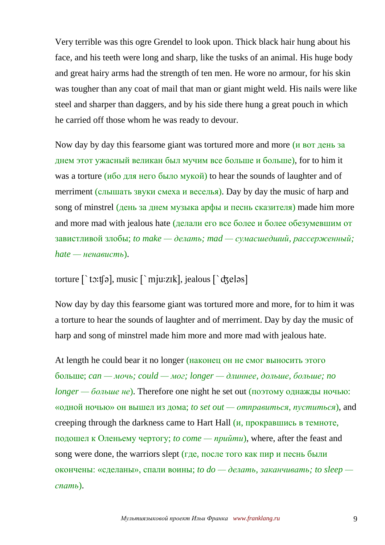Very terrible was this ogre Grendel to look upon. Thick black hair hung about his face, and his teeth were long and sharp, like the tusks of an animal. His huge body and great hairy arms had the strength of ten men. He wore no armour, for his skin was tougher than any coat of mail that man or giant might weld. His nails were like steel and sharper than daggers, and by his side there hung a great pouch in which he carried off those whom he was ready to devour.

Now day by day this fearsome giant was tortured more and more (и вот день за днем этот ужасный великан был мучим все больше и больше), for to him it was a torture (ибо для него было мукой) to hear the sounds of laughter and of merriment (слышать звуки смеха и веселья). Day by day the music of harp and song of minstrel (день за днем музыка арфы и песнь сказителя) made him more and more mad with jealous hate (делали его все более и более обезумевшим от завистливой злобы; *to make — делать; mad — сумасшедший, рассерженный;*   $hat -$  *ненависть*).

torture  $\lceil$  to:t[a], music  $\lceil$  mju:zik], jealous  $\lceil$  dzelas]

Now day by day this fearsome giant was tortured more and more, for to him it was a torture to hear the sounds of laughter and of merriment. Day by day the music of harp and song of minstrel made him more and more mad with jealous hate.

At length he could bear it no longer (наконец он не смог выносить этого больше; *can — мочь; could — мог; longer — длиннее, дольше, больше; no longer — больше не*). Therefore one night he set out (поэтому однажды ночью: «одной ночью» он вышел из дома; *to set out — отправиться, пуститься*), and creeping through the darkness came to Hart Hall (и, прокравшись в темноте, подошел к Оленьему чертогу; *to come — прийти*), where, after the feast and song were done, the warriors slept (где, после того как пир и песнь были окончены: «сделаны», спали воины; *to do — делать, заканчивать; to sleep спать*).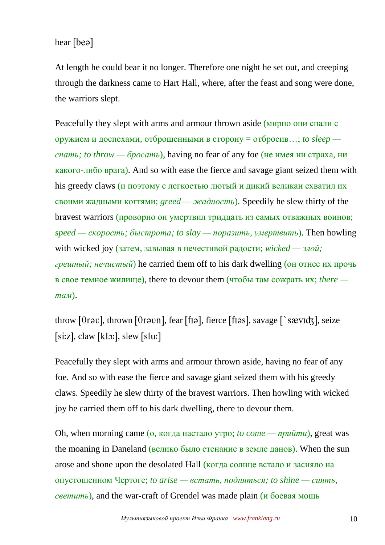bear [beə]

At length he could bear it no longer. Therefore one night he set out, and creeping through the darkness came to Hart Hall, where, after the feast and song were done, the warriors slept.

Peacefully they slept with arms and armour thrown aside (мирно они спали с оружием и доспехами, отброшенными в сторону = отбросив…; *to sleep спать; to throw — бросать*), having no fear of any foe (не имея ни страха, ни какого-либо врага). And so with ease the fierce and savage giant seized them with his greedy claws (и поэтому с легкостью лютый и дикий великан схватил их своими жадными когтями; *greed — жадность*). Speedily he slew thirty of the bravest warriors (проворно он умертвил тридцать из самых отважных воинов; *speed — скорость; быстрота; to slay — поразить, умертвить*). Then howling with wicked joy (затем, завывая в нечестивой радости; *wicked — злой; грешный; нечистый*) he carried them off to his dark dwelling (он отнес их прочь в свое темное жилище), there to devour them (чтобы там сожрать их; *there там*).

throw [ $\theta$ rəv], thrown [ $\theta$ rəvn], fear [fɪə], fierce [fɪəs], savage [`sævɪdʒ], seize  $[si:z]$ , claw  $[k]$ : slew  $[s]$ lu:

Peacefully they slept with arms and armour thrown aside, having no fear of any foe. And so with ease the fierce and savage giant seized them with his greedy claws. Speedily he slew thirty of the bravest warriors. Then howling with wicked joy he carried them off to his dark dwelling, there to devour them.

Oh, when morning came (о, когда настало утро; *to come — прийти*), great was the moaning in Daneland (велико было стенание в земле данов). When the sun arose and shone upon the desolated Hall (когда солнце встало и засияло на опустошенном Чертоге; *to arise — встать, подняться; to shine — сиять, светить*), and the war-craft of Grendel was made plain (и боевая мощь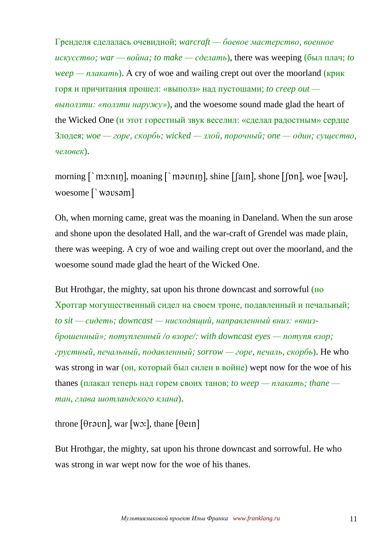Гренделя сделалась очевидной; *warcraft — боевое мастерство, военное искусство; war — война; to make — сделать*), there was weeping (был плач; *to weep — плакать*). A cry of woe and wailing crept out over the moorland (крик горя и причитания прошел: «выполз» над пустошами; *to creep out выползти: «ползти наружу»*), and the woesome sound made glad the heart of the Wicked One (и этот горестный звук веселил: «сделал радостным» сердце Злодея; *woe — горе, скорбь; wicked — злой, порочный; one — один; существо, человек*).

morning  $\lceil \text{max} \rceil$ , moaning  $\lceil \text{max} \rceil$ , shine  $\lceil \lceil \text{min} \rceil$ , shone  $\lceil \lceil \text{min} \rceil$ , woe  $\lceil \text{max} \rceil$ , woesome [`wavsam]

Oh, when morning came, great was the moaning in Daneland. When the sun arose and shone upon the desolated Hall, and the war-craft of Grendel was made plain, there was weeping. A cry of woe and wailing crept out over the moorland, and the woesome sound made glad the heart of the Wicked One.

But Hrothgar, the mighty, sat upon his throne downcast and sorrowful (HO Хротгар могущественный сидел на своем троне, подавленный и печальный; *to sit — сидеть; downcast — нисходящий, направленный вниз: «внизброшенный»; потупленный /о взоре/: with downcast eyes — потупя взор; грустный, печальный, подавленный; sorrow — горе, печаль, скорбь*). He who was strong in war (он, который был силен в войне) wept now for the woe of his thanes (плакал теперь над горем своих танов; *to weep* — *плакать*; *thane тан, глава шотландского клана*).

throne  $[*θ*$ r*, war*  $[w<sub>3</sub>:]$ *, thane*  $[*θ*$  $*ε*nn]$ 

But Hrothgar, the mighty, sat upon his throne downcast and sorrowful. He who was strong in war wept now for the woe of his thanes.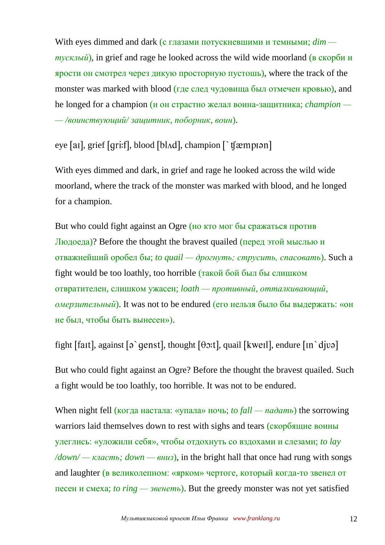With eyes dimmed and dark (с глазами потускневшими и темными; *dim тусклый*), in grief and rage he looked across the wild wide moorland (в скорби и ярости он смотрел через дикую просторную пустошь), where the track of the monster was marked with blood (где след чудовища был отмечен кровью), and he longed for a champion (и он страстно желал воина-защитника; *champion — — /воинствующий/ защитник, поборник, воин*).

eye [ai], grief [qri:f], blood [bl $\Lambda$ d], champion [`t[æmpiən]

With eyes dimmed and dark, in grief and rage he looked across the wild wide moorland, where the track of the monster was marked with blood, and he longed for a champion.

But who could fight against an Ogre (но кто мог бы сражаться против Людоеда)? Before the thought the bravest quailed (перед этой мыслью и отважнейший оробел бы; *to quail — дрогнуть; струсить, спасовать*). Such a fight would be too loathly, too horrible (такой бой был бы слишком отвратителен, слишком ужасен; *loath — противный, отталкивающий, омерзительный*). It was not to be endured (его нельзя было бы выдержать: «он не был, чтобы быть вынесен»).

fight [fait], against [ $\varphi$ `qenst], thought [ $\theta$  $\varphi$ :t], quail [kweil], endure [in`djv $\varphi$ ]

But who could fight against an Ogre? Before the thought the bravest quailed. Such a fight would be too loathly, too horrible. It was not to be endured.

When night fell (когда настала: «упала» ночь; *to fall — падать*) the sorrowing warriors laid themselves down to rest with sighs and tears (скорбящие воины улеглись: «уложили себя», чтобы отдохнуть со вздохами и слезами; *to lay /down/ — класть; down — вниз*), in the bright hall that once had rung with songs and laughter (в великолепном: «ярком» чертоге, который когда-то звенел от песен и смеха; *to ring — звенеть*). But the greedy monster was not yet satisfied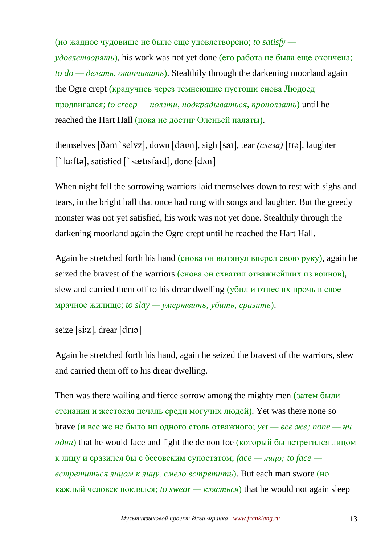(но жадное чудовище не было еще удовлетворено; *to satisfy удовлетворять*), his work was not yet done (его работа не была еще окончена; *to do — делать, оканчивать*). Stealthily through the darkening moorland again the Ogre crept (крадучись через темнеющие пустоши снова Людоед продвигался; *to creep — ползти, подкрадываться, проползать*) until he reached the Hart Hall (пока не достиг Оленьей палаты).

themselves [ðəm`selvz], down [davn], sigh [saɪ], tear *(слеза*) [tɪə], laughter  $\lceil$  la:ftə], satisfied  $\lceil$  sætisfaid], done  $\lceil$ d $\land$ n]

When night fell the sorrowing warriors laid themselves down to rest with sighs and tears, in the bright hall that once had rung with songs and laughter. But the greedy monster was not yet satisfied, his work was not yet done. Stealthily through the darkening moorland again the Ogre crept until he reached the Hart Hall.

Again he stretched forth his hand (снова он вытянул вперед свою руку), again he seized the bravest of the warriors (снова он схватил отважнейших из воинов), slew and carried them off to his drear dwelling (убил и отнес их прочь в свое мрачное жилище; *to slay — умертвить, убить, сразить*).

```
seize [si:z], drear [drɪə]
```
Again he stretched forth his hand, again he seized the bravest of the warriors, slew and carried them off to his drear dwelling.

Then was there wailing and fierce sorrow among the mighty men (затем были стенания и жестокая печаль среди могучих людей). Yet was there none so brave (и все же не было ни одного столь отважного; *yet — все же; none — ни*   $o$ *дин*) that he would face and fight the demon foe (который бы встретился лицом к лицу и сразился бы с бесовским супостатом; *face — лицо; to face встретиться лицом к лицу, смело встретить*). But each man swore (но каждый человек поклялся; *to swear* — *клясться*) that he would not again sleep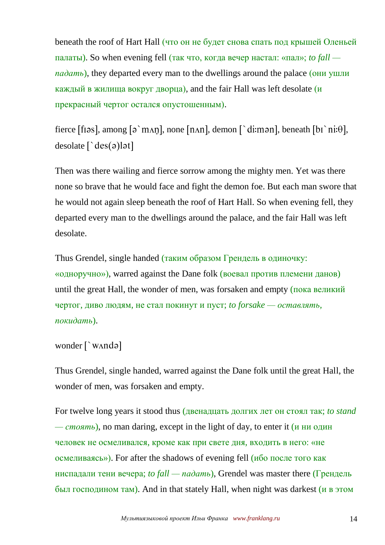beneath the roof of Hart Hall (что он не будет снова спать под крышей Оленьей палаты). So when evening fell (так что, когда вечер настал: «пал»; *to fall падать*), they departed every man to the dwellings around the palace (они ушли каждый в жилища вокруг дворца), and the fair Hall was left desolate  $(u)$ прекрасный чертог остался опустошенным).

fierce [fiəs], among  $\lceil \varphi \rangle$  m $\Delta$ n], none  $\lceil \varphi \rangle$ n $\Delta$ , demon  $\lceil \varphi \rangle$  di:mən], beneath  $\lceil \varphi \rangle$ ni: $\theta$ ],  $desolate [\`des(\mathsf{a})]$ 

Then was there wailing and fierce sorrow among the mighty men. Yet was there none so brave that he would face and fight the demon foe. But each man swore that he would not again sleep beneath the roof of Hart Hall. So when evening fell, they departed every man to the dwellings around the palace, and the fair Hall was left desolate.

Thus Grendel, single handed (таким образом Грендель в одиночку: «одноручно»), warred against the Dane folk (воевал против племени данов) until the great Hall, the wonder of men, was forsaken and empty (пока великий чертог, диво людям, не стал покинут и пуст; *to forsake — оставлять, покидать*).

```
wonder [`WAnda]
```
Thus Grendel, single handed, warred against the Dane folk until the great Hall, the wonder of men, was forsaken and empty.

For twelve long years it stood thus (двенадцать долгих лет он стоял так; *to stand — стоять*), no man daring, except in the light of day, to enter it (и ни один человек не осмеливался, кроме как при свете дня, входить в него: «не осмеливаясь»). For after the shadows of evening fell (ибо после того как ниспадали тени вечера; *to fall* — *падать*), Grendel was master there (Грендель был господином там). And in that stately Hall, when night was darkest (и в этом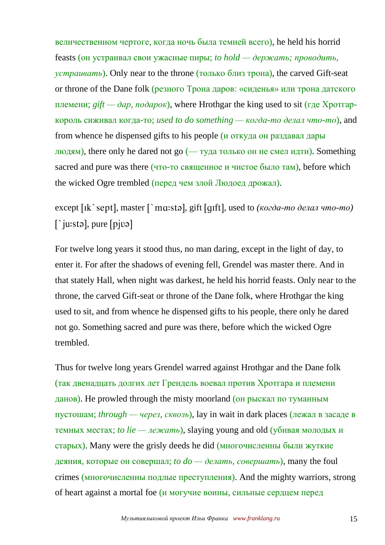величественном чертоге, когда ночь была темней всего), he held his horrid feasts (он устраивал свои ужасные пиры; *to hold — держать; проводить, устраивать*). Only near to the throne (только близ трона), the carved Gift-seat or throne of the Dane folk (резного Трона даров: «сиденья» или трона датского племени; *gift — дар, подарок*), where Hrothgar the king used to sit (где Хротгаркороль сиживал когда-то; *used to do something — когда-то делал что-то*), and from whence he dispensed gifts to his people (и откуда он раздавал дары людям), there only he dared not go  $($ — туда только он не смел идти). Something sacred and pure was there (что-то священное и чистое было там), before which the wicked Ogre trembled (перед чем злой Людоед дрожал).

except [Ik`sept], master [`mɑ:stə], gift [gɪft], used to *(когда-то делал что-то)*  $\int$ iu:sta], pure [pjva]

For twelve long years it stood thus, no man daring, except in the light of day, to enter it. For after the shadows of evening fell, Grendel was master there. And in that stately Hall, when night was darkest, he held his horrid feasts. Only near to the throne, the carved Gift-seat or throne of the Dane folk, where Hrothgar the king used to sit, and from whence he dispensed gifts to his people, there only he dared not go. Something sacred and pure was there, before which the wicked Ogre trembled.

Thus for twelve long years Grendel warred against Hrothgar and the Dane folk (так двенадцать долгих лет Грендель воевал против Хротгара и племени данов). He prowled through the misty moorland (он рыскал по туманным пустошам; *through — через, сквозь*), lay in wait in dark places (лежал в засаде в темных местах; *to lie — лежать*), slaying young and old (убивая молодых и старых). Many were the grisly deeds he did (многочисленны были жуткие деяния, которые он совершал; *to do — делать, совершать*), many the foul crimes (многочисленны подлые преступления). And the mighty warriors, strong of heart against a mortal foe (и могучие воины, сильные сердцем перед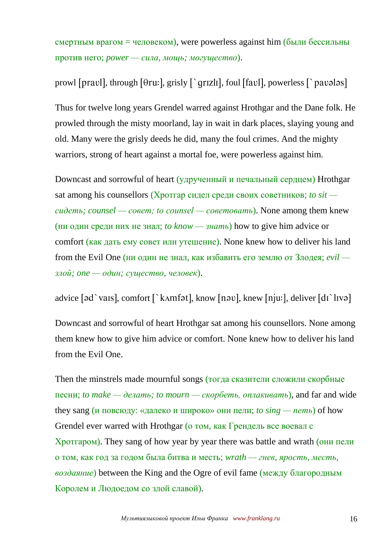$\epsilon$ мертным врагом = человеком), were powerless against him (были бессильны против него; *power — сила, мощь; могущество*).

prowl [pravl], through  $[0r_1, \frac{1}{2}r_2, \frac{1}{2}r_3]$ , foul  $[0r_1, \frac{1}{2}r_2, \frac{1}{2}r_3]$ 

Thus for twelve long years Grendel warred against Hrothgar and the Dane folk. He prowled through the misty moorland, lay in wait in dark places, slaying young and old. Many were the grisly deeds he did, many the foul crimes. And the mighty warriors, strong of heart against a mortal foe, were powerless against him.

Downcast and sorrowful of heart (удрученный и печальный сердцем) Hrothgar sat among his counsellors (Хротгар сидел среди своих советников; *to sit сидеть; counsel — совет; to counsel — советовать*). None among them knew (ни один среди них не знал; *to know — знать*) how to give him advice or comfort (как дать ему совет или утешение). None knew how to deliver his land from the Evil One (ни один не знал, как избавить его землю от Злодея; *evil злой; one — один; существо, человек*).

advice [əd`vaɪs], comfort [`kʌmfət], know [nəv], knew [nju:], deliver [dɪ`lɪvə]

Downcast and sorrowful of heart Hrothgar sat among his counsellors. None among them knew how to give him advice or comfort. None knew how to deliver his land from the Evil One.

Then the minstrels made mournful songs (тогда сказители сложили скорбные песни; *to make — делать; to mourn — скорбеть, оплакивать*), and far and wide they sang (и повсюду: «далеко и широко» они пели; *to*  $\sin g - n$ еть) of how Grendel ever warred with Hrothgar (о том, как Грендель все воевал с Хротгаром). They sang of how year by year there was battle and wrath (они пели о том, как год за годом была битва и месть; *wrath — гнев, ярость, месть, воздаяние*) between the King and the Ogre of evil fame (между благородным Королем и Людоедом со злой славой).